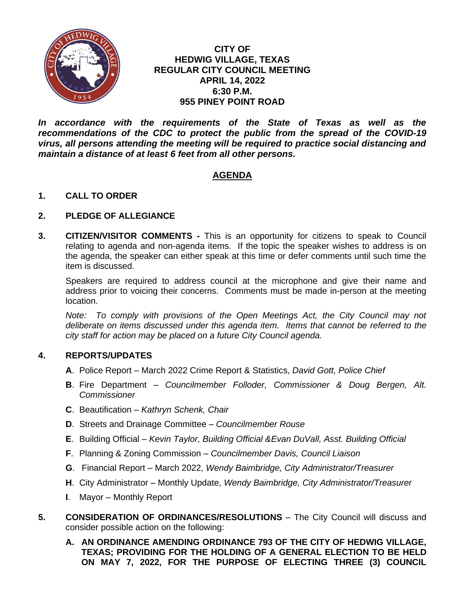

### **CITY OF HEDWIG VILLAGE, TEXAS REGULAR CITY COUNCIL MEETING APRIL 14, 2022 6:30 P.M. 955 PINEY POINT ROAD**

*In accordance with the requirements of the State of Texas as well as the recommendations of the CDC to protect the public from the spread of the COVID-19 virus, all persons attending the meeting will be required to practice social distancing and maintain a distance of at least 6 feet from all other persons.*

# **AGENDA**

## **1. CALL TO ORDER**

### **2. PLEDGE OF ALLEGIANCE**

**3. CITIZEN/VISITOR COMMENTS -** This is an opportunity for citizens to speak to Council relating to agenda and non-agenda items. If the topic the speaker wishes to address is on the agenda, the speaker can either speak at this time or defer comments until such time the item is discussed.

Speakers are required to address council at the microphone and give their name and address prior to voicing their concerns. Comments must be made in-person at the meeting location.

*Note: To comply with provisions of the Open Meetings Act, the City Council may not deliberate on items discussed under this agenda item. Items that cannot be referred to the city staff for action may be placed on a future City Council agenda.*

## **4. REPORTS/UPDATES**

- **A**. Police Report March 2022 Crime Report & Statistics, *David Gott, Police Chief*
- **B**. Fire Department *Councilmember Folloder, Commissioner & Doug Bergen, Alt. Commissioner*
- **C**. Beautification *Kathryn Schenk, Chair*
- **D**. Streets and Drainage Committee *Councilmember Rouse*
- **E**. Building Official *Kevin Taylor, Building Official &Evan DuVall, Asst. Building Official*
- **F**. Planning & Zoning Commission *Councilmember Davis, Council Liaison*
- **G**. Financial Report March 2022, *Wendy Baimbridge, City Administrator/Treasurer*
- **H**. City Administrator Monthly Update, *Wendy Baimbridge, City Administrator/Treasurer*
- **I**. Mayor Monthly Report
- **5. CONSIDERATION OF ORDINANCES/RESOLUTIONS** The City Council will discuss and consider possible action on the following:
	- **A. AN ORDINANCE AMENDING ORDINANCE 793 OF THE CITY OF HEDWIG VILLAGE, TEXAS; PROVIDING FOR THE HOLDING OF A GENERAL ELECTION TO BE HELD ON MAY 7, 2022, FOR THE PURPOSE OF ELECTING THREE (3) COUNCIL**